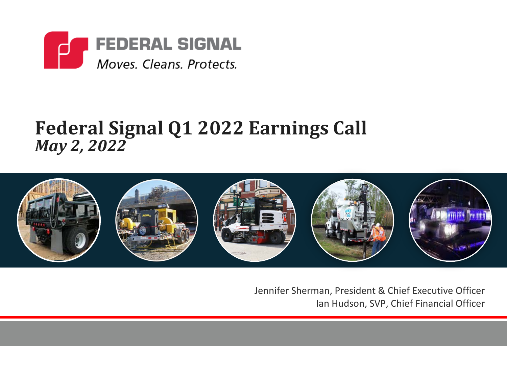

### **Federal Signal Q1 2022 Earnings Call** *May 2, 2022*



Jennifer Sherman, President & Chief Executive Officer Ian Hudson, SVP, Chief Financial Officer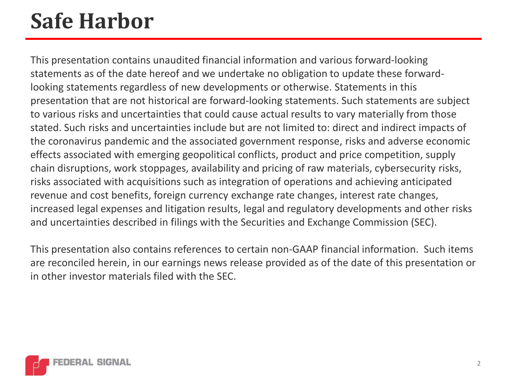## **Safe Harbor**

This presentation contains unaudited financial information and various forward-looking statements as of the date hereof and we undertake no obligation to update these forwardlooking statements regardless of new developments or otherwise. Statements in this presentation that are not historical are forward-looking statements. Such statements are subject to various risks and uncertainties that could cause actual results to vary materially from those stated. Such risks and uncertainties include but are not limited to: direct and indirect impacts of the coronavirus pandemic and the associated government response, risks and adverse economic effects associated with emerging geopolitical conflicts, product and price competition, supply chain disruptions, work stoppages, availability and pricing of raw materials, cybersecurity risks, risks associated with acquisitions such as integration of operations and achieving anticipated revenue and cost benefits, foreign currency exchange rate changes, interest rate changes, increased legal expenses and litigation results, legal and regulatory developments and other risks and uncertainties described in filings with the Securities and Exchange Commission (SEC).

This presentation also contains references to certain non-GAAP financial information. Such items are reconciled herein, in our earnings news release provided as of the date of this presentation or in other investor materials filed with the SEC.

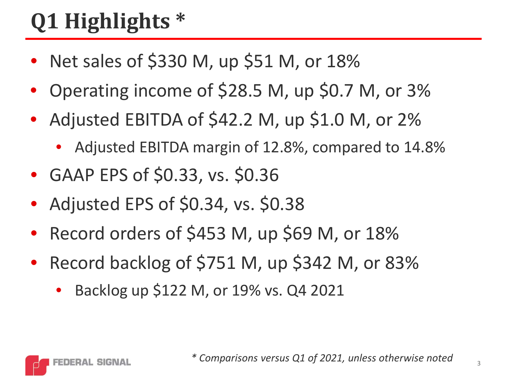## **Q1 Highlights \***

- Net sales of \$330 M, up \$51 M, or 18%
- Operating income of \$28.5 M, up \$0.7 M, or 3%
- Adjusted EBITDA of \$42.2 M, up \$1.0 M, or 2%
	- Adjusted EBITDA margin of 12.8%, compared to 14.8%
- GAAP EPS of \$0.33, vs. \$0.36
- Adjusted EPS of \$0.34, vs. \$0.38
- Record orders of \$453 M, up \$69 M, or 18%
- Record backlog of \$751 M, up \$342 M, or 83%
	- Backlog up \$122 M, or 19% vs. Q4 2021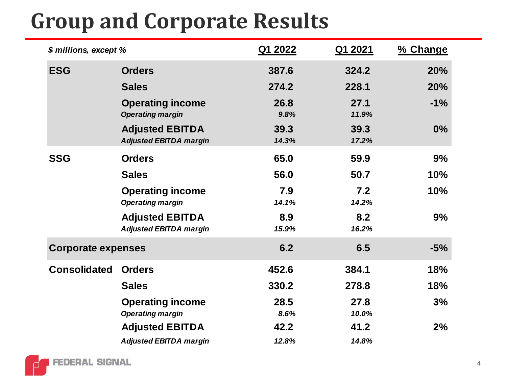## **Group and Corporate Results**

| \$ millions, except %     |                                                         | Q1 2022       | Q1 2021       | % Change |
|---------------------------|---------------------------------------------------------|---------------|---------------|----------|
| <b>ESG</b>                | <b>Orders</b>                                           | 387.6         | 324.2         | 20%      |
|                           | <b>Sales</b>                                            | 274.2         | 228.1         | 20%      |
|                           | <b>Operating income</b><br><b>Operating margin</b>      | 26.8<br>9.8%  | 27.1<br>11.9% | $-1%$    |
|                           | <b>Adjusted EBITDA</b><br><b>Adjusted EBITDA margin</b> | 39.3<br>14.3% | 39.3<br>17.2% | 0%       |
| <b>SSG</b>                | <b>Orders</b>                                           | 65.0          | 59.9          | 9%       |
|                           | <b>Sales</b>                                            | 56.0          | 50.7          | 10%      |
|                           | <b>Operating income</b><br><b>Operating margin</b>      | 7.9<br>14.1%  | 7.2<br>14.2%  | 10%      |
|                           | <b>Adjusted EBITDA</b><br><b>Adjusted EBITDA margin</b> | 8.9<br>15.9%  | 8.2<br>16.2%  | 9%       |
| <b>Corporate expenses</b> |                                                         | 6.2           | 6.5           | $-5%$    |
| <b>Consolidated</b>       | <b>Orders</b>                                           | 452.6         | 384.1         | 18%      |
|                           | <b>Sales</b>                                            | 330.2         | 278.8         | 18%      |
|                           | <b>Operating income</b>                                 | 28.5          | 27.8          | 3%       |
|                           | <b>Operating margin</b>                                 | 8.6%          | 10.0%         |          |
|                           | <b>Adjusted EBITDA</b>                                  | 42.2          | 41.2          | 2%       |
|                           | <b>Adjusted EBITDA margin</b>                           | 12.8%         | 14.8%         |          |

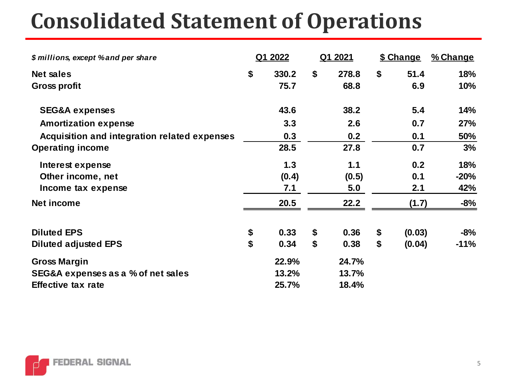## **Consolidated Statement of Operations**

| \$ millions, except % and per share          |    | Q1 2022 |    | Q1 2021 |    | \$ Change | % Change |
|----------------------------------------------|----|---------|----|---------|----|-----------|----------|
| <b>Net sales</b>                             | \$ | 330.2   | \$ | 278.8   | \$ | 51.4      | 18%      |
| <b>Gross profit</b>                          |    | 75.7    |    | 68.8    |    | 6.9       | 10%      |
| <b>SEG&amp;A expenses</b>                    |    | 43.6    |    | 38.2    |    | 5.4       | 14%      |
| <b>Amortization expense</b>                  |    | 3.3     |    | 2.6     |    | 0.7       | 27%      |
| Acquisition and integration related expenses |    | 0.3     |    | 0.2     |    | 0.1       | 50%      |
| <b>Operating income</b>                      |    | 28.5    |    | 27.8    |    | 0.7       | 3%       |
| Interest expense                             |    | 1.3     |    | 1.1     |    | 0.2       | 18%      |
| Other income, net                            |    | (0.4)   |    | (0.5)   |    | 0.1       | -20%     |
| Income tax expense                           |    | 7.1     |    | 5.0     |    | 2.1       | 42%      |
| <b>Net income</b>                            |    | 20.5    |    | 22.2    |    | (1.7)     | $-8%$    |
| <b>Diluted EPS</b>                           | \$ | 0.33    | \$ | 0.36    | \$ | (0.03)    | $-8%$    |
| <b>Diluted adjusted EPS</b>                  | \$ | 0.34    | \$ | 0.38    | \$ | (0.04)    | $-11%$   |
| <b>Gross Margin</b>                          |    | 22.9%   |    | 24.7%   |    |           |          |
| SEG&A expenses as a % of net sales           |    | 13.2%   |    | 13.7%   |    |           |          |
| <b>Effective tax rate</b>                    |    | 25.7%   |    | 18.4%   |    |           |          |

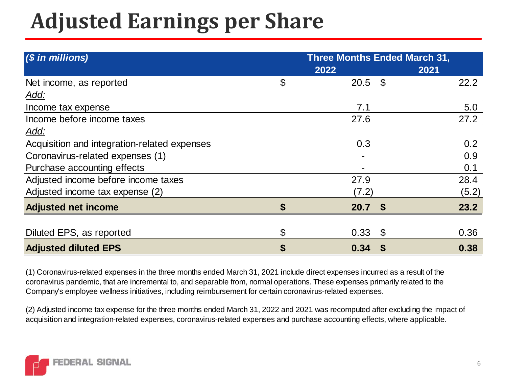## **Adjusted Earnings per Share**

| $(S \text{ in millions})$                    | <b>Three Months Ended March 31,</b> |                   |       |  |  |  |
|----------------------------------------------|-------------------------------------|-------------------|-------|--|--|--|
|                                              |                                     | 2022              | 2021  |  |  |  |
| Net income, as reported                      | \$                                  | $20.5$ \$         | 22.2  |  |  |  |
| <u>Add:</u>                                  |                                     |                   |       |  |  |  |
| Income tax expense                           |                                     | 7.1               | 5.0   |  |  |  |
| Income before income taxes                   |                                     | 27.6              | 27.2  |  |  |  |
| Add:                                         |                                     |                   |       |  |  |  |
| Acquisition and integration-related expenses |                                     | 0.3               | 0.2   |  |  |  |
| Coronavirus-related expenses (1)             |                                     |                   | 0.9   |  |  |  |
| Purchase accounting effects                  |                                     |                   | 0.1   |  |  |  |
| Adjusted income before income taxes          |                                     | 27.9              | 28.4  |  |  |  |
| Adjusted income tax expense (2)              |                                     | (7.2)             | (5.2) |  |  |  |
| <b>Adjusted net income</b>                   | \$                                  | 20.7 <sup>5</sup> | 23.2  |  |  |  |
|                                              |                                     |                   |       |  |  |  |
| Diluted EPS, as reported                     | \$                                  | 0.33<br>\$        | 0.36  |  |  |  |
| <b>Adjusted diluted EPS</b>                  | \$                                  | 0.34<br><b>S</b>  | 0.38  |  |  |  |

(1) Coronavirus-related expenses in the three months ended March 31, 2021 include direct expenses incurred as a result of the coronavirus pandemic, that are incremental to, and separable from, normal operations. These expenses primarily related to the Company's employee wellness initiatives, including reimbursement for certain coronavirus-related expenses.

(2) Adjusted income tax expense for the three months ended March 31, 2022 and 2021 was recomputed after excluding the impact of acquisition and integration-related expenses, coronavirus-related expenses and purchase accounting effects, where applicable.

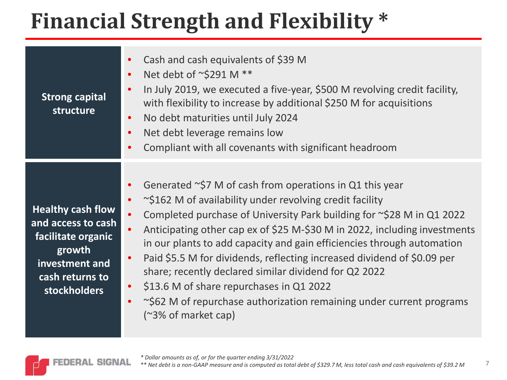## **Financial Strength and Flexibility \***

| <b>Strong capital</b><br>structure                                                                                                         | Cash and cash equivalents of \$39 M<br>Net debt of ~\$291 M **<br>In July 2019, we executed a five-year, \$500 M revolving credit facility,<br>with flexibility to increase by additional \$250 M for acquisitions<br>No debt maturities until July 2024<br>Net debt leverage remains low<br>Compliant with all covenants with significant headroom                                                                                                                                                                                                                                                                                                                   |
|--------------------------------------------------------------------------------------------------------------------------------------------|-----------------------------------------------------------------------------------------------------------------------------------------------------------------------------------------------------------------------------------------------------------------------------------------------------------------------------------------------------------------------------------------------------------------------------------------------------------------------------------------------------------------------------------------------------------------------------------------------------------------------------------------------------------------------|
| <b>Healthy cash flow</b><br>and access to cash<br>facilitate organic<br>growth<br>investment and<br>cash returns to<br><b>stockholders</b> | Generated $\sim$ \$7 M of cash from operations in Q1 this year<br>$\sim$ \$162 M of availability under revolving credit facility<br>Completed purchase of University Park building for $\sim$ \$28 M in Q1 2022<br>Anticipating other cap ex of \$25 M-\$30 M in 2022, including investments<br>in our plants to add capacity and gain efficiencies through automation<br>Paid \$5.5 M for dividends, reflecting increased dividend of \$0.09 per<br>share; recently declared similar dividend for Q2 2022<br>\$13.6 M of share repurchases in Q1 2022<br>$\bullet$<br>~\$62 M of repurchase authorization remaining under current programs<br>$($ ~3% of market cap) |

**FEDERAL SIGNAL** 

7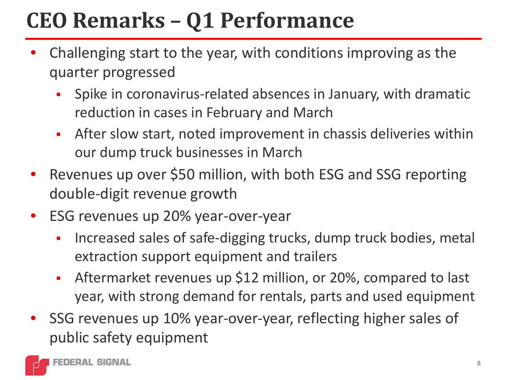## **CEO Remarks – Q1 Performance**

- Challenging start to the year, with conditions improving as the quarter progressed
	- **Spike in coronavirus-related absences in January, with dramatic** reduction in cases in February and March
	- After slow start, noted improvement in chassis deliveries within our dump truck businesses in March
- Revenues up over \$50 million, with both ESG and SSG reporting double-digit revenue growth
- ESG revenues up 20% year-over-year
	- **Increased sales of safe-digging trucks, dump truck bodies, metal 4** extraction support equipment and trailers
	- Aftermarket revenues up \$12 million, or 20%, compared to last year, with strong demand for rentals, parts and used equipment
- SSG revenues up 10% year-over-year, reflecting higher sales of public safety equipment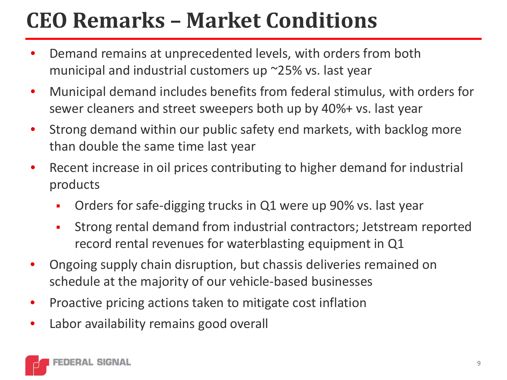## **CEO Remarks – Market Conditions**

- Demand remains at unprecedented levels, with orders from both municipal and industrial customers up ~25% vs. last year
- Municipal demand includes benefits from federal stimulus, with orders for sewer cleaners and street sweepers both up by 40%+ vs. last year
- Strong demand within our public safety end markets, with backlog more than double the same time last year
- Recent increase in oil prices contributing to higher demand for industrial products
	- Orders for safe-digging trucks in Q1 were up 90% vs. last year
	- Strong rental demand from industrial contractors; Jetstream reported record rental revenues for waterblasting equipment in Q1
- Ongoing supply chain disruption, but chassis deliveries remained on schedule at the majority of our vehicle-based businesses
- Proactive pricing actions taken to mitigate cost inflation
- Labor availability remains good overall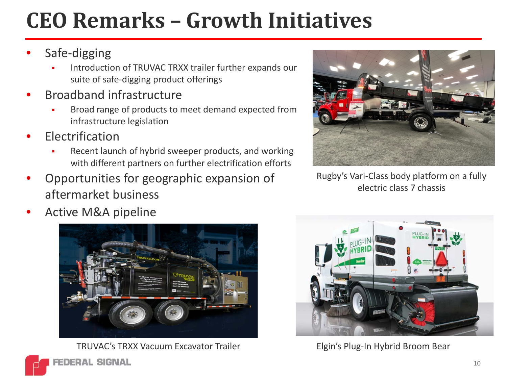## **CEO Remarks – Growth Initiatives**

#### Safe-digging

- Introduction of TRUVAC TRXX trailer further expands our suite of safe-digging product offerings
- Broadband infrastructure
	- Broad range of products to meet demand expected from infrastructure legislation
- **Electrification** 
	- Recent launch of hybrid sweeper products, and working with different partners on further electrification efforts
- Opportunities for geographic expansion of aftermarket business





TRUVAC's TRXX Vacuum Excavator Trailer Elgin's Plug-In Hybrid Broom Bear



Rugby's Vari-Class body platform on a fully electric class 7 chassis



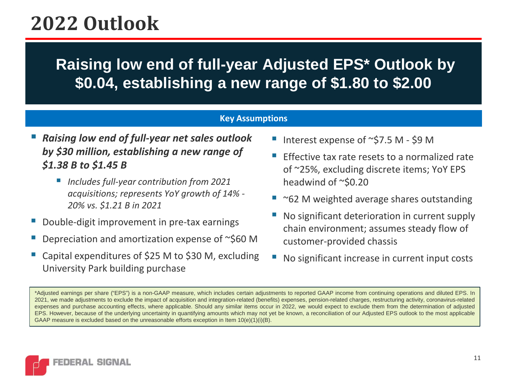## **2022 Outlook**

### **Raising low end of full-year Adjusted EPS\* Outlook by \$0.04, establishing a new range of \$1.80 to \$2.00**

#### **Key Assumptions**

#### *Raising low end of full-year net sales outlook by \$30 million, establishing a new range of \$1.38 B to \$1.45 B*

- *Includes full-year contribution from 2021 acquisitions; represents YoY growth of 14% - 20% vs. \$1.21 B in 2021*
- Double-digit improvement in pre-tax earnings
- Depreciation and amortization expense of ~\$60 M
- Capital expenditures of \$25 M to \$30 M, excluding University Park building purchase
- Interest expense of  $\sim$ \$7.5 M \$9 M
- Effective tax rate resets to a normalized rate of ~25%, excluding discrete items; YoY EPS headwind of ~\$0.20
- $\blacksquare$  ~62 M weighted average shares outstanding
- No significant deterioration in current supply chain environment; assumes steady flow of customer-provided chassis
- No significant increase in current input costs

\*Adjusted earnings per share ("EPS") is a non-GAAP measure, which includes certain adjustments to reported GAAP income from continuing operations and diluted EPS. In 2021, we made adjustments to exclude the impact of acquisition and integration-related (benefits) expenses, pension-related charges, restructuring activity, coronavirus-related expenses and purchase accounting effects, where applicable. Should any similar items occur in 2022, we would expect to exclude them from the determination of adjusted EPS. However, because of the underlying uncertainty in quantifying amounts which may not yet be known, a reconciliation of our Adjusted EPS outlook to the most applicable GAAP measure is excluded based on the unreasonable efforts exception in Item 10(e)(1)(i)(B).

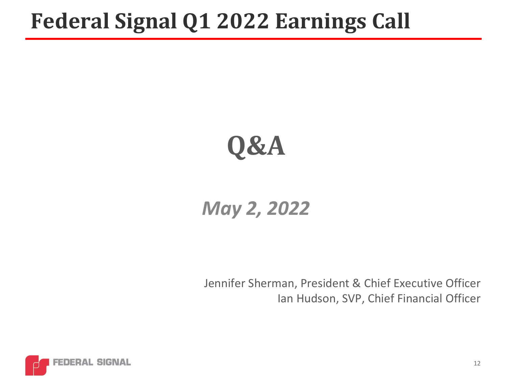## **Federal Signal Q1 2022 Earnings Call**



### *May 2, 2022*

Jennifer Sherman, President & Chief Executive Officer Ian Hudson, SVP, Chief Financial Officer

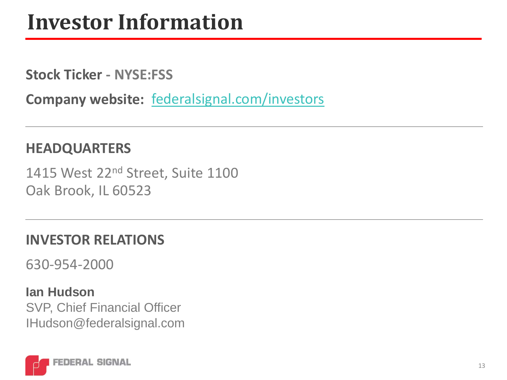## **Investor Information**

**Stock Ticker - NYSE:FSS**

**Company website:** [federalsignal.com/investors](https://www.federalsignal.com/investors)

#### **HEADQUARTERS**

1415 West 22<sup>nd</sup> Street, Suite 1100 Oak Brook, IL 60523

#### **INVESTOR RELATIONS**

630-954-2000

**Ian Hudson** SVP, Chief Financial Officer IHudson@federalsignal.com

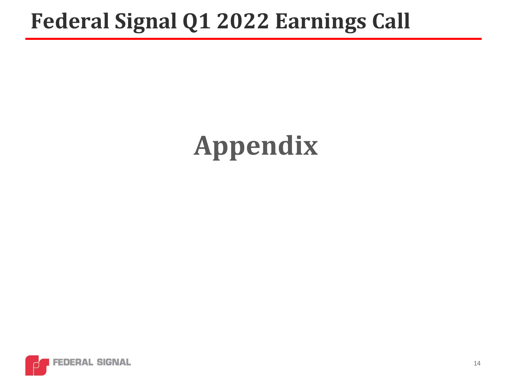## **Federal Signal Q1 2022 Earnings Call**

# **Appendix**

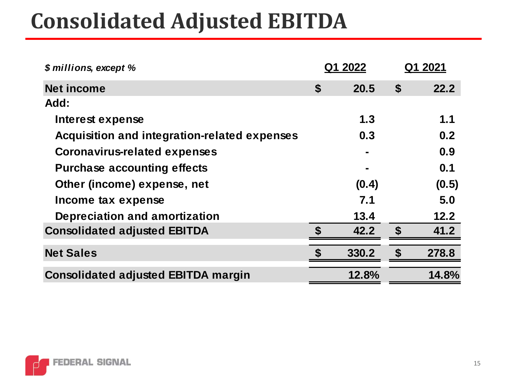## **Consolidated Adjusted EBITDA**

| \$ millions, except %                        |    | Q1 2022 | Q1 2021 |       |
|----------------------------------------------|----|---------|---------|-------|
| <b>Net income</b>                            | \$ | 20.5    | \$      | 22.2  |
| Add:                                         |    |         |         |       |
| Interest expense                             |    | 1.3     |         | 1.1   |
| Acquisition and integration-related expenses |    | 0.3     |         | 0.2   |
| <b>Coronavirus-related expenses</b>          |    |         |         | 0.9   |
| <b>Purchase accounting effects</b>           |    |         |         | 0.1   |
| Other (income) expense, net                  |    | (0.4)   |         | (0.5) |
| Income tax expense                           |    | 7.1     |         | 5.0   |
| Depreciation and amortization                |    | 13.4    |         | 12.2  |
| <b>Consolidated adjusted EBITDA</b>          |    | 42.2    |         | 41.2  |
| <b>Net Sales</b>                             |    | 330.2   |         | 278.8 |
| <b>Consolidated adjusted EBITDA margin</b>   |    | 12.8%   |         | 14.8% |

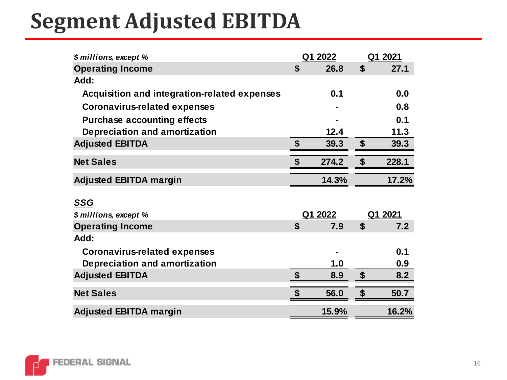## **Segment Adjusted EBITDA**

| \$ millions, except %                        |                           | Q1 2022 | Q1 2021 |       |
|----------------------------------------------|---------------------------|---------|---------|-------|
| <b>Operating Income</b>                      | \$                        | 26.8    | \$      | 27.1  |
| Add:                                         |                           |         |         |       |
| Acquisition and integration-related expenses |                           | 0.1     |         | 0.0   |
| <b>Coronavirus-related expenses</b>          |                           |         |         | 0.8   |
| <b>Purchase accounting effects</b>           |                           |         |         | 0.1   |
| <b>Depreciation and amortization</b>         |                           | 12.4    |         | 11.3  |
| <b>Adjusted EBITDA</b>                       | \$                        | 39.3    | \$      | 39.3  |
| <b>Net Sales</b>                             | $\boldsymbol{\mathsf{s}}$ | 274.2   | \$      | 228.1 |
| <b>Adjusted EBITDA margin</b>                |                           | 14.3%   |         | 17.2% |
| <b>SSG</b>                                   |                           |         |         |       |
| \$ millions, except %                        |                           | Q1 2022 | Q1 2021 |       |
| <b>Operating Income</b>                      | $\boldsymbol{\mathsf{s}}$ | 7.9     | \$      | 7.2   |
| Add:                                         |                           |         |         |       |
| <b>Coronavirus-related expenses</b>          |                           |         |         | 0.1   |
| <b>Depreciation and amortization</b>         |                           | 1.0     |         | 0.9   |
| <b>Adjusted EBITDA</b>                       | $\boldsymbol{\mathsf{s}}$ | 8.9     | \$      | 8.2   |
| <b>Net Sales</b>                             |                           | 56.0    |         | 50.7  |
| <b>Adjusted EBITDA margin</b>                |                           | 15.9%   |         | 16.2% |

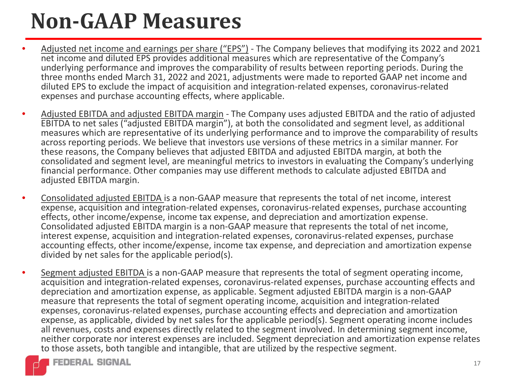## **Non-GAAP Measures**

- Adjusted net income and earnings per share ("EPS") The Company believes that modifying its 2022 and 2021 net income and diluted EPS provides additional measures which are representative of the Company's underlying performance and improves the comparability of results between reporting periods. During the three months ended March 31, 2022 and 2021, adjustments were made to reported GAAP net income and diluted EPS to exclude the impact of acquisition and integration-related expenses, coronavirus-related expenses and purchase accounting effects, where applicable.
- Adjusted EBITDA and adjusted EBITDA margin The Company uses adjusted EBITDA and the ratio of adjusted EBITDA to net sales ("adjusted EBITDA margin"), at both the consolidated and segment level, as additional measures which are representative of its underlying performance and to improve the comparability of results across reporting periods. We believe that investors use versions of these metrics in a similar manner. For these reasons, the Company believes that adjusted EBITDA and adjusted EBITDA margin, at both the consolidated and segment level, are meaningful metrics to investors in evaluating the Company's underlying financial performance. Other companies may use different methods to calculate adjusted EBITDA and adjusted EBITDA margin.
- Consolidated adjusted EBITDA is a non-GAAP measure that represents the total of net income, interest expense, acquisition and integration-related expenses, coronavirus-related expenses, purchase accounting effects, other income/expense, income tax expense, and depreciation and amortization expense. Consolidated adjusted EBITDA margin is a non-GAAP measure that represents the total of net income, interest expense, acquisition and integration-related expenses, coronavirus-related expenses, purchase accounting effects, other income/expense, income tax expense, and depreciation and amortization expense divided by net sales for the applicable period(s).
- Segment adjusted EBITDA is a non-GAAP measure that represents the total of segment operating income, acquisition and integration-related expenses, coronavirus-related expenses, purchase accounting effects and depreciation and amortization expense, as applicable. Segment adjusted EBITDA margin is a non-GAAP measure that represents the total of segment operating income, acquisition and integration-related expenses, coronavirus-related expenses, purchase accounting effects and depreciation and amortization expense, as applicable, divided by net sales for the applicable period(s). Segment operating income includes all revenues, costs and expenses directly related to the segment involved. In determining segment income, neither corporate nor interest expenses are included. Segment depreciation and amortization expense relates to those assets, both tangible and intangible, that are utilized by the respective segment.